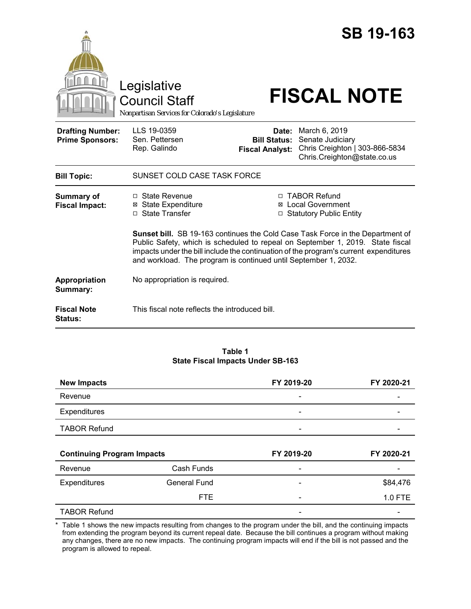|                                                   | Legislative<br><b>Council Staff</b><br>Nonpartisan Services for Colorado's Legislature                                                                                                                                                                                                                                              |                                                        | <b>SB 19-163</b><br><b>FISCAL NOTE</b>                                                             |  |
|---------------------------------------------------|-------------------------------------------------------------------------------------------------------------------------------------------------------------------------------------------------------------------------------------------------------------------------------------------------------------------------------------|--------------------------------------------------------|----------------------------------------------------------------------------------------------------|--|
| <b>Drafting Number:</b><br><b>Prime Sponsors:</b> | LLS 19-0359<br>Sen. Pettersen<br>Rep. Galindo                                                                                                                                                                                                                                                                                       | Date:<br><b>Bill Status:</b><br><b>Fiscal Analyst:</b> | March 6, 2019<br>Senate Judiciary<br>Chris Creighton   303-866-5834<br>Chris.Creighton@state.co.us |  |
| <b>Bill Topic:</b>                                | SUNSET COLD CASE TASK FORCE                                                                                                                                                                                                                                                                                                         |                                                        |                                                                                                    |  |
| <b>Summary of</b><br><b>Fiscal Impact:</b>        | □ State Revenue<br><b>State Expenditure</b><br>⊠<br>□ State Transfer                                                                                                                                                                                                                                                                |                                                        | □ TABOR Refund<br><b>⊠</b> Local Government<br>□ Statutory Public Entity                           |  |
|                                                   | <b>Sunset bill.</b> SB 19-163 continues the Cold Case Task Force in the Department of<br>Public Safety, which is scheduled to repeal on September 1, 2019. State fiscal<br>impacts under the bill include the continuation of the program's current expenditures<br>and workload. The program is continued until September 1, 2032. |                                                        |                                                                                                    |  |
| Appropriation<br>Summary:                         | No appropriation is required.                                                                                                                                                                                                                                                                                                       |                                                        |                                                                                                    |  |
| <b>Fiscal Note</b><br>Status:                     | This fiscal note reflects the introduced bill.                                                                                                                                                                                                                                                                                      |                                                        |                                                                                                    |  |

#### **Table 1 State Fiscal Impacts Under SB-163**

| <b>New Impacts</b>                |                     | FY 2019-20               | FY 2020-21 |
|-----------------------------------|---------------------|--------------------------|------------|
| Revenue                           |                     |                          |            |
| Expenditures                      |                     |                          |            |
| <b>TABOR Refund</b>               |                     |                          |            |
|                                   |                     |                          |            |
|                                   |                     |                          |            |
| <b>Continuing Program Impacts</b> |                     | FY 2019-20               | FY 2020-21 |
| Revenue                           | Cash Funds          |                          |            |
| <b>Expenditures</b>               | <b>General Fund</b> | $\overline{\phantom{a}}$ | \$84,476   |
|                                   | <b>FTE</b>          |                          | 1.0 FTE    |

\* Table 1 shows the new impacts resulting from changes to the program under the bill, and the continuing impacts from extending the program beyond its current repeal date. Because the bill continues a program without making any changes, there are no new impacts. The continuing program impacts will end if the bill is not passed and the program is allowed to repeal.